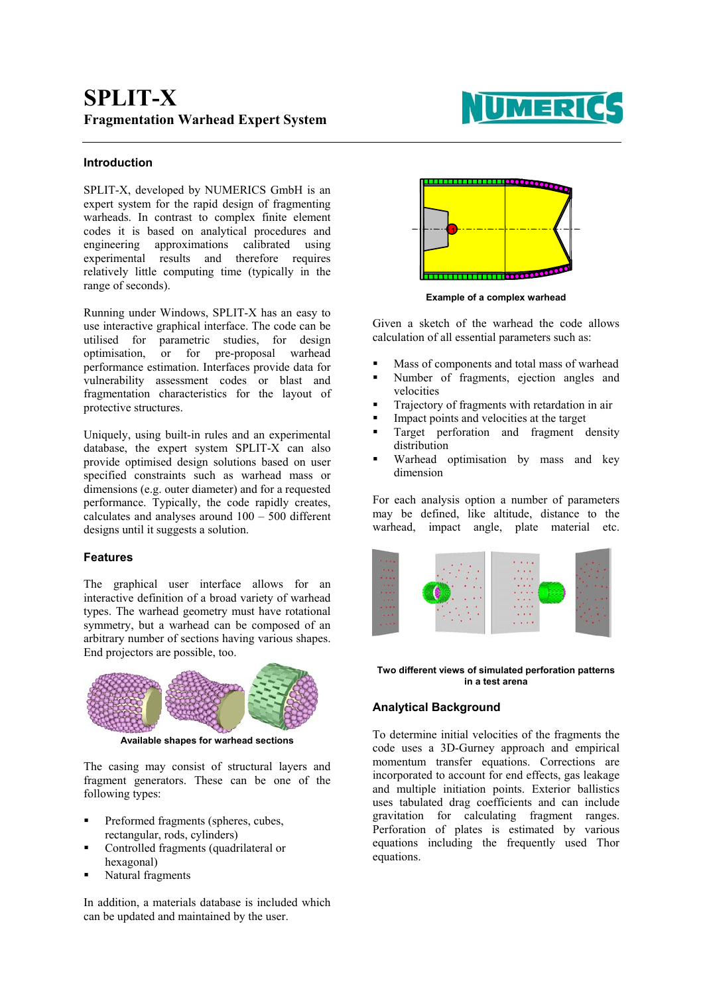

## **Introduction**

SPLIT-X, developed by NUMERICS GmbH is an expert system for the rapid design of fragmenting warheads. In contrast to complex finite element codes it is based on analytical procedures and engineering approximations calibrated using experimental results and therefore requires relatively little computing time (typically in the range of seconds).

Running under Windows, SPLIT-X has an easy to use interactive graphical interface. The code can be utilised for parametric studies, for design optimisation, or for pre-proposal warhead performance estimation. Interfaces provide data for vulnerability assessment codes or blast and fragmentation characteristics for the layout of protective structures.

Uniquely, using built-in rules and an experimental database, the expert system SPLIT-X can also provide optimised design solutions based on user specified constraints such as warhead mass or dimensions (e.g. outer diameter) and for a requested performance. Typically, the code rapidly creates, calculates and analyses around 100 – 500 different designs until it suggests a solution.

## **Features**

The graphical user interface allows for an interactive definition of a broad variety of warhead types. The warhead geometry must have rotational symmetry, but a warhead can be composed of an arbitrary number of sections having various shapes. End projectors are possible, too.



**Available shapes for warhead sections**

The casing may consist of structural layers and fragment generators. These can be one of the following types:

- Preformed fragments (spheres, cubes, rectangular, rods, cylinders)
- Controlled fragments (quadrilateral or hexagonal)
- Natural fragments

In addition, a materials database is included which can be updated and maintained by the user.



**Example of a complex warhead** 

Given a sketch of the warhead the code allows calculation of all essential parameters such as:

- Mass of components and total mass of warhead
- Number of fragments, ejection angles and velocities
- Trajectory of fragments with retardation in air
- Impact points and velocities at the target
- Target perforation and fragment density distribution
- Warhead optimisation by mass and key dimension

For each analysis option a number of parameters may be defined, like altitude, distance to the warhead, impact angle, plate material etc.



**Two different views of simulated perforation patterns in a test arena**

# **Analytical Background**

To determine initial velocities of the fragments the code uses a 3D-Gurney approach and empirical momentum transfer equations. Corrections are incorporated to account for end effects, gas leakage and multiple initiation points. Exterior ballistics uses tabulated drag coefficients and can include gravitation for calculating fragment ranges. Perforation of plates is estimated by various equations including the frequently used Thor equations.